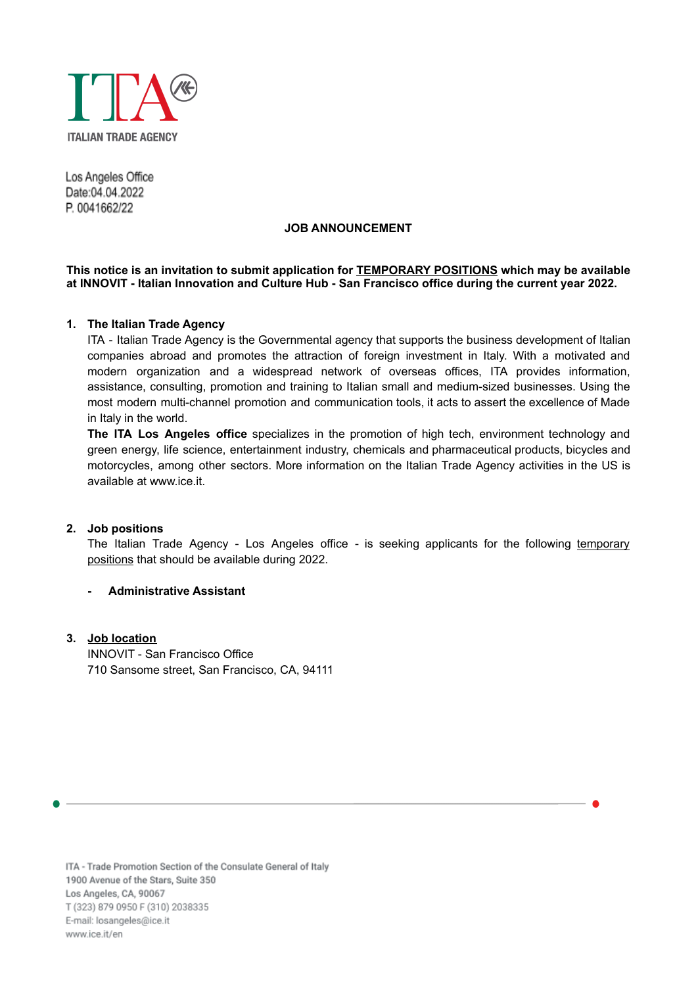

Los Angeles Office Date:04.04.2022 P. 0041662/22

### **JOB ANNOUNCEMENT**

## **This notice is an invitation to submit application for TEMPORARY POSITIONS which may be available at INNOVIT - Italian Innovation and Culture Hub - San Francisco office during the current year 2022.**

## **1. The Italian Trade Agency**

ITA - Italian Trade Agency is the Governmental agency that supports the business development of Italian companies abroad and promotes the attraction of foreign investment in Italy. With a motivated and modern organization and a widespread network of overseas offices, ITA provides information, assistance, consulting, promotion and training to Italian small and medium-sized businesses. Using the most modern multi-channel promotion and communication tools, it acts to assert the excellence of Made in Italy in the world.

**The ITA Los Angeles office** specializes in the promotion of high tech, environment technology and green energy, life science, entertainment industry, chemicals and pharmaceutical products, bicycles and motorcycles, among other sectors. More information on the Italian Trade Agency activities in the US is available at [www.ice.it](http://www.ice.it).

## **2. Job positions**

The Italian Trade Agency - Los Angeles office - is seeking applicants for the following temporary positions that should be available during 2022.

## **- Administrative Assistant**

## **3. Job location**

INNOVIT - San Francisco Office 710 Sansome street, San Francisco, CA, 94111

ITA - Trade Promotion Section of the Consulate General of Italy 1900 Avenue of the Stars, Suite 350 Los Angeles, CA, 90067 T (323) 879 0950 F (310) 2038335 E-mail: losangeles@ice.it www.ice.it/en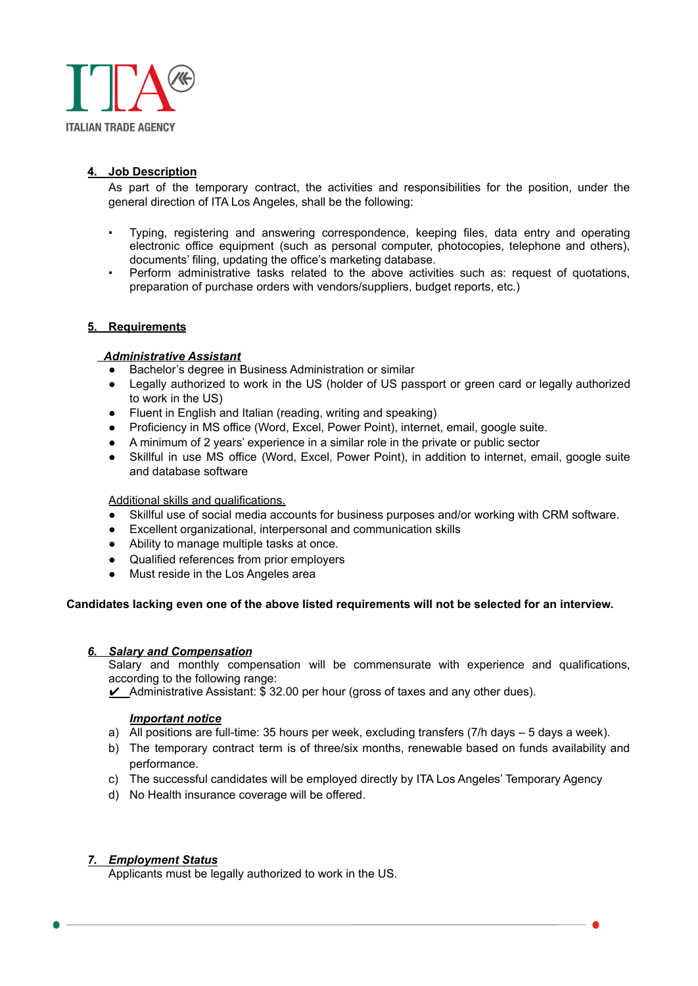

# **4. Job Description**

As part of the temporary contract, the activities and responsibilities for the position, under the general direction of ITA Los Angeles, shall be the following:

- Typing, registering and answering correspondence, keeping files, data entry and operating electronic office equipment (such as personal computer, photocopies, telephone and others), documents' filing, updating the office's marketing database.
- Perform administrative tasks related to the above activities such as: request of quotations, preparation of purchase orders with vendors/suppliers, budget reports, etc.)

## **5. Requirements**

## *Administrative Assistant*

- Bachelor's degree in Business Administration or similar
- Legally authorized to work in the US (holder of US passport or green card or legally authorized to work in the US)
- Fluent in English and Italian (reading, writing and speaking)
- Proficiency in MS office (Word, Excel, Power Point), internet, email, google suite.
- A minimum of 2 years' experience in a similar role in the private or public sector
- Skillful in use MS office (Word, Excel, Power Point), in addition to internet, email, google suite and database software

#### Additional skills and qualifications.

- Skillful use of social media accounts for business purposes and/or working with CRM software.
- Excellent organizational, interpersonal and communication skills
- Ability to manage multiple tasks at once.
- Qualified references from prior employers
- Must reside in the Los Angeles area

## **Candidates lacking even one of the above listed requirements will not be selected for an interview.**

#### *6. Salary and Compensation*

Salary and monthly compensation will be commensurate with experience and qualifications, according to the following range:

 $\angle$  Administrative Assistant:  $\tilde{\mathfrak{s}}$  32.00 per hour (gross of taxes and any other dues).

#### *Important notice*

- a) All positions are full-time: 35 hours per week, excluding transfers (7/h days 5 days a week).
- b) The temporary contract term is of three/six months, renewable based on funds availability and performance.
- c) The successful candidates will be employed directly by ITA Los Angeles' Temporary Agency
- d) No Health insurance coverage will be offered.

## *7. Employment Status*

Applicants must be legally authorized to work in the US.